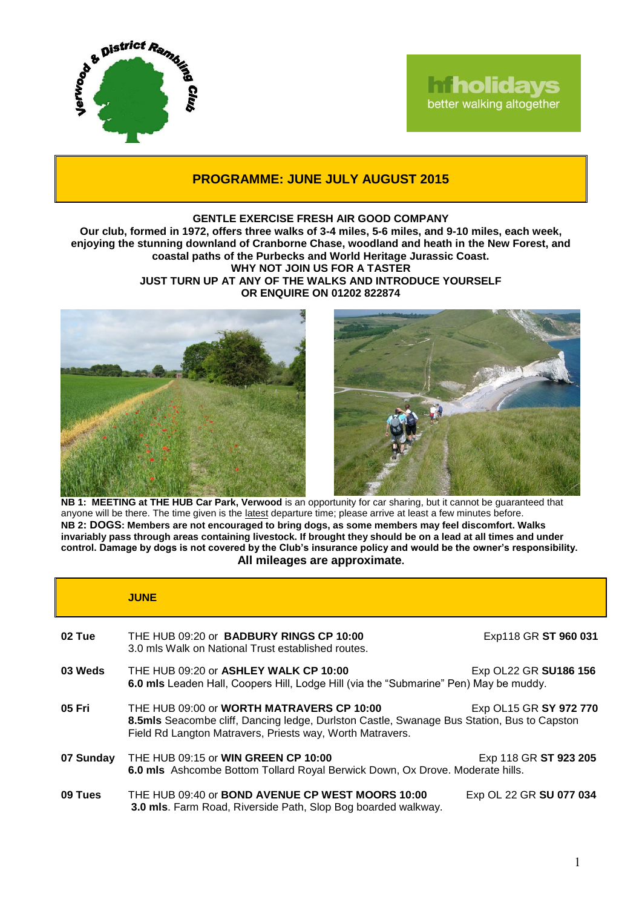

## **Iniholidays** better walking altogether

## **PROGRAMME: JUNE JULY AUGUST 2015**

## **GENTLE EXERCISE FRESH AIR GOOD COMPANY**

**Our club, formed in 1972, offers three walks of 3-4 miles, 5-6 miles, and 9-10 miles, each week, enjoying the stunning downland of Cranborne Chase, woodland and heath in the New Forest, and coastal paths of the Purbecks and World Heritage Jurassic Coast. WHY NOT JOIN US FOR A TASTER JUST TURN UP AT ANY OF THE WALKS AND INTRODUCE YOURSELF**

**OR ENQUIRE ON 01202 822874**



**NB 1: MEETING at THE HUB Car Park, Verwood** is an opportunity for car sharing, but it cannot be guaranteed that anyone will be there. The time given is the latest departure time; please arrive at least a few minutes before. **NB 2: DOGS: Members are not encouraged to bring dogs, as some members may feel discomfort. Walks invariably pass through areas containing livestock. If brought they should be on a lead at all times and under control. Damage by dogs is not covered by the Club's insurance policy and would be the owner's responsibility. All mileages are approximate.**

|           | <b>JUNE</b>                                                                                                                                                                                          |                         |
|-----------|------------------------------------------------------------------------------------------------------------------------------------------------------------------------------------------------------|-------------------------|
| 02 Tue    | THE HUB 09:20 or <b>BADBURY RINGS CP 10:00</b><br>3.0 mls Walk on National Trust established routes.                                                                                                 | Exp118 GR ST 960 031    |
| 03 Weds   | THE HUB 09:20 or ASHLEY WALK CP 10:00<br>Exp OL22 GR SU186 156<br>6.0 mls Leaden Hall, Coopers Hill, Lodge Hill (via the "Submarine" Pen) May be muddy.                                              |                         |
| 05 Fri    | THE HUB 09:00 or WORTH MATRAVERS CP 10:00<br>8.5mls Seacombe cliff, Dancing ledge, Durlston Castle, Swanage Bus Station, Bus to Capston<br>Field Rd Langton Matravers, Priests way, Worth Matravers. | Exp OL15 GR SY 972 770  |
| 07 Sunday | THE HUB 09:15 or <b>WIN GREEN CP 10:00</b><br>6.0 mls Ashcombe Bottom Tollard Royal Berwick Down, Ox Drove. Moderate hills.                                                                          | Exp 118 GR ST 923 205   |
| 09 Tues   | THE HUB 09:40 or <b>BOND AVENUE CP WEST MOORS 10:00</b><br>3.0 mls. Farm Road, Riverside Path, Slop Bog boarded walkway.                                                                             | Exp OL 22 GR SU 077 034 |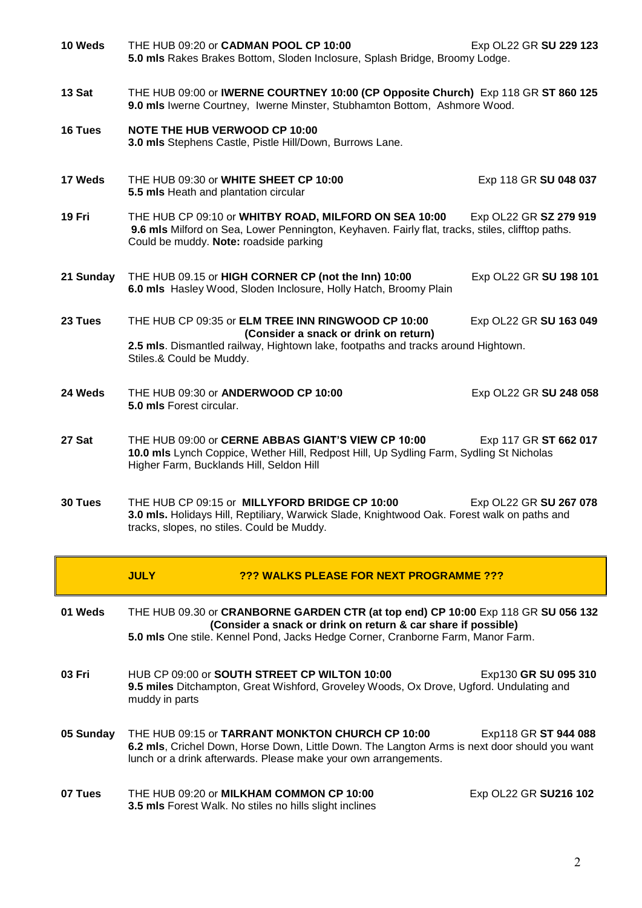| 10 Weds   | THE HUB 09:20 or CADMAN POOL CP 10:00<br>5.0 mls Rakes Brakes Bottom, Sloden Inclosure, Splash Bridge, Broomy Lodge.                                                                                         | Exp OL22 GR SU 229 123 |  |
|-----------|--------------------------------------------------------------------------------------------------------------------------------------------------------------------------------------------------------------|------------------------|--|
| 13 Sat    | THE HUB 09:00 or IWERNE COURTNEY 10:00 (CP Opposite Church) Exp 118 GR ST 860 125<br>9.0 mls Iwerne Courtney, Iwerne Minster, Stubhamton Bottom, Ashmore Wood.                                               |                        |  |
| 16 Tues   | <b>NOTE THE HUB VERWOOD CP 10:00</b><br>3.0 mls Stephens Castle, Pistle Hill/Down, Burrows Lane.                                                                                                             |                        |  |
| 17 Weds   | THE HUB 09:30 or WHITE SHEET CP 10:00<br>5.5 mls Heath and plantation circular                                                                                                                               | Exp 118 GR SU 048 037  |  |
| 19 Fri    | THE HUB CP 09:10 or WHITBY ROAD, MILFORD ON SEA 10:00<br>9.6 mls Milford on Sea, Lower Pennington, Keyhaven. Fairly flat, tracks, stiles, clifftop paths.<br>Could be muddy. Note: roadside parking          | Exp OL22 GR SZ 279 919 |  |
| 21 Sunday | THE HUB 09.15 or HIGH CORNER CP (not the Inn) 10:00<br>6.0 mls Hasley Wood, Sloden Inclosure, Holly Hatch, Broomy Plain                                                                                      | Exp OL22 GR SU 198 101 |  |
| 23 Tues   | THE HUB CP 09:35 or ELM TREE INN RINGWOOD CP 10:00<br>(Consider a snack or drink on return)<br>2.5 mls. Dismantled railway, Hightown lake, footpaths and tracks around Hightown.<br>Stiles.& Could be Muddy. | Exp OL22 GR SU 163 049 |  |
| 24 Weds   | THE HUB 09:30 or ANDERWOOD CP 10:00<br>5.0 mls Forest circular.                                                                                                                                              | Exp OL22 GR SU 248 058 |  |
| 27 Sat    | THE HUB 09:00 or CERNE ABBAS GIANT'S VIEW CP 10:00<br>10.0 mls Lynch Coppice, Wether Hill, Redpost Hill, Up Sydling Farm, Sydling St Nicholas<br>Higher Farm, Bucklands Hill, Seldon Hill                    | Exp 117 GR ST 662 017  |  |
| 30 Tues   | THE HUB CP 09:15 or MILLYFORD BRIDGE CP 10:00<br>3.0 mls. Holidays Hill, Reptiliary, Warwick Slade, Knightwood Oak. Forest walk on paths and<br>tracks, slopes, no stiles. Could be Muddy.                   | Exp OL22 GR SU 267 078 |  |
|           |                                                                                                                                                                                                              |                        |  |

|           | <b>JULY</b>                                                                                                                                                                                                                           | ??? WALKS PLEASE FOR NEXT PROGRAMME ???                                                                                                                                                                              |                       |
|-----------|---------------------------------------------------------------------------------------------------------------------------------------------------------------------------------------------------------------------------------------|----------------------------------------------------------------------------------------------------------------------------------------------------------------------------------------------------------------------|-----------------------|
| 01 Weds   | THE HUB 09.30 or CRANBORNE GARDEN CTR (at top end) CP 10:00 Exp 118 GR SU 056 132<br>(Consider a snack or drink on return & car share if possible)<br>5.0 mls One stile. Kennel Pond, Jacks Hedge Corner, Cranborne Farm, Manor Farm. |                                                                                                                                                                                                                      |                       |
| 03 Fri    | muddy in parts                                                                                                                                                                                                                        | HUB CP 09:00 or SOUTH STREET CP WILTON 10:00<br>9.5 miles Ditchampton, Great Wishford, Groveley Woods, Ox Drove, Ugford. Undulating and                                                                              | Exp130 GR SU 095 310  |
| 05 Sunday |                                                                                                                                                                                                                                       | THE HUB 09:15 or TARRANT MONKTON CHURCH CP 10:00<br>6.2 mls, Crichel Down, Horse Down, Little Down. The Langton Arms is next door should you want<br>lunch or a drink afterwards. Please make your own arrangements. | Exp118 GR ST 944 088  |
| 07 Tues   |                                                                                                                                                                                                                                       | THE HUB 09:20 or MILKHAM COMMON CP 10:00<br><b>3.5 mls</b> Forest Walk. No stiles no hills slight inclines                                                                                                           | Exp OL22 GR SU216 102 |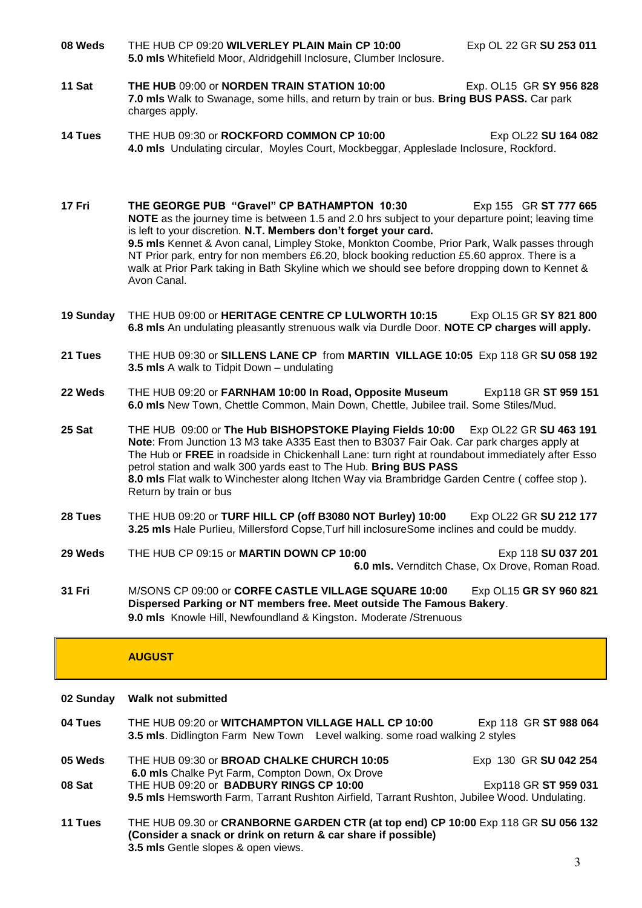**08 Weds** THE HUB CP 09:20 **WILVERLEY PLAIN Main CP 10:00** Exp OL 22 GR **SU 253 011 5.0 mls** Whitefield Moor, Aldridgehill Inclosure, Clumber Inclosure.

- **11 Sat THE HUB** 09:00 or **NORDEN TRAIN STATION 10:00** Exp. OL15 GR **SY 956 828 7.0 mls** Walk to Swanage, some hills, and return by train or bus. **Bring BUS PASS.** Car park charges apply.
- **14 Tues** THE HUB 09:30 or **ROCKFORD COMMON CP 10:00** Exp OL22 SU 164 082 **4.0 mls** Undulating circular, Moyles Court, Mockbeggar, Appleslade Inclosure, Rockford.

**17 Fri THE GEORGE PUB "Gravel" CP BATHAMPTON 10:30** Exp 155 GR **ST 777 665 NOTE** as the journey time is between 1.5 and 2.0 hrs subject to your departure point; leaving time is left to your discretion. **N.T. Members don't forget your card. 9.5 mls** Kennet & Avon canal, Limpley Stoke, Monkton Coombe, Prior Park, Walk passes through NT Prior park, entry for non members £6.20, block booking reduction £5.60 approx. There is a walk at Prior Park taking in Bath Skyline which we should see before dropping down to Kennet & Avon Canal.

- **19 Sunday** THE HUB 09:00 or **HERITAGE CENTRE CP LULWORTH 10:15** Exp OL15 GR **SY 821 800 6.8 mls** An undulating pleasantly strenuous walk via Durdle Door. **NOTE CP charges will apply.**
- **21 Tues** THE HUB 09:30 or **SILLENS LANE CP** from **MARTIN VILLAGE 10:05** Exp 118 GR **SU 058 192 3.5 mls** A walk to Tidpit Down – undulating
- **22 Weds** THE HUB 09:20 or **FARNHAM 10:00 In Road, Opposite Museum** Exp118 GR **ST 959 151 6.0 mls** New Town, Chettle Common, Main Down, Chettle, Jubilee trail. Some Stiles/Mud.
- **25 Sat** THE HUB 09:00 or **The Hub BISHOPSTOKE Playing Fields 10:00** Exp OL22 GR **SU 463 191 Note**: From Junction 13 M3 take A335 East then to B3037 Fair Oak. Car park charges apply at The Hub or **FREE** in roadside in Chickenhall Lane: turn right at roundabout immediately after Esso petrol station and walk 300 yards east to The Hub. **Bring BUS PASS 8.0 mls** Flat walk to Winchester along Itchen Way via Brambridge Garden Centre ( coffee stop ). Return by train or bus
- **28 Tues** THE HUB 09:20 or **TURF HILL CP (off B3080 NOT Burley) 10:00** Exp OL22 GR **SU 212 177 3.25 mls** Hale Purlieu, Millersford Copse,Turf hill inclosureSome inclines and could be muddy.
- **29 Weds** THE HUB CP 09:15 or **MARTIN DOWN CP 10:00** Exp 118 **SU 037 201 6.0 mls.** Vernditch Chase, Ox Drove, Roman Road.
- **31 Fri** M/SONS CP 09:00 or **CORFE CASTLE VILLAGE SQUARE 10:00** Exp OL15 **GR SY 960 821 Dispersed Parking or NT members free. Meet outside The Famous Bakery**. **9.0 mls** Knowle Hill, Newfoundland & Kingston. Moderate /Strenuous

## **AUGUST**

- **02 Sunday Walk not submitted**
- 04 Tues THE HUB 09:20 or WITCHAMPTON VILLAGE HALL CP 10:00 Exp 118 GR ST 988 064 **3.5 mls**. Didlington Farm New Town Level walking. some road walking 2 styles
- **05 Weds** THE HUB 09:30 or **BROAD CHALKE CHURCH 10:05** Exp 130 GR **SU 042 254 6.0 mls** Chalke Pyt Farm, Compton Down, Ox Drove **08 Sat** THE HUB 09:20 or **BADBURY RINGS CP 10:00** Exp118 GR **ST 959 031 9.5 mls** Hemsworth Farm, Tarrant Rushton Airfield, Tarrant Rushton, Jubilee Wood. Undulating.
- **11 Tues** THE HUB 09.30 or **CRANBORNE GARDEN CTR (at top end) CP 10:00** Exp 118 GR **SU 056 132 (Consider a snack or drink on return & car share if possible) 3.5 mls** Gentle slopes & open views.